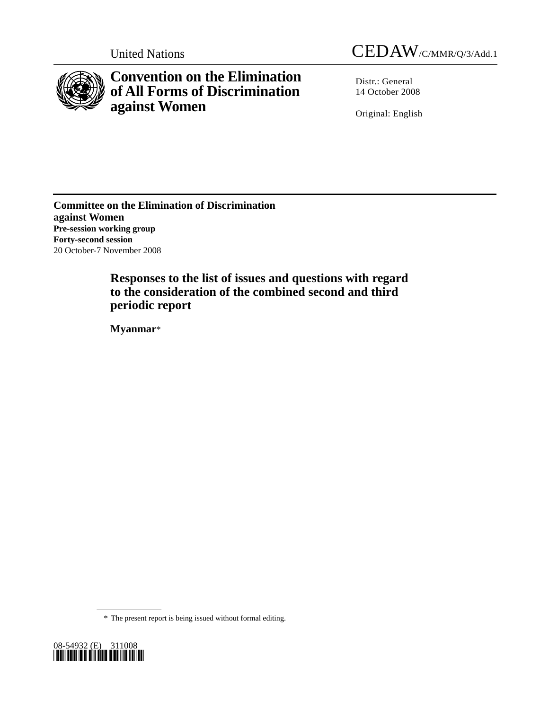

# **Convention on the Elimination of All Forms of Discrimination against Women**

Distr.: General 14 October 2008

Original: English

**Committee on the Elimination of Discrimination against Women Pre-session working group Forty-second session**  20 October-7 November 2008

> **Responses to the list of issues and questions with regard to the consideration of the combined second and third periodic report**

 **Myanmar**\*

\* The present report is being issued without formal editing.

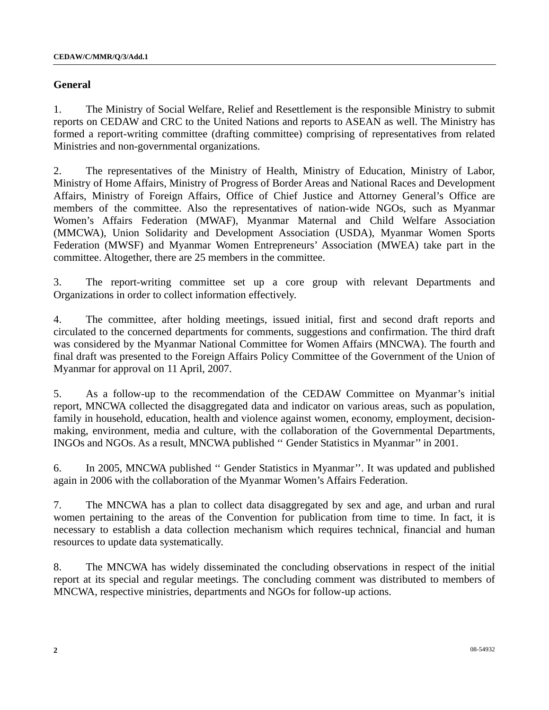## **General**

1. The Ministry of Social Welfare, Relief and Resettlement is the responsible Ministry to submit reports on CEDAW and CRC to the United Nations and reports to ASEAN as well. The Ministry has formed a report-writing committee (drafting committee) comprising of representatives from related Ministries and non-governmental organizations.

2. The representatives of the Ministry of Health, Ministry of Education, Ministry of Labor, Ministry of Home Affairs, Ministry of Progress of Border Areas and National Races and Development Affairs, Ministry of Foreign Affairs, Office of Chief Justice and Attorney General's Office are members of the committee. Also the representatives of nation-wide NGOs, such as Myanmar Women's Affairs Federation (MWAF), Myanmar Maternal and Child Welfare Association (MMCWA), Union Solidarity and Development Association (USDA), Myanmar Women Sports Federation (MWSF) and Myanmar Women Entrepreneurs' Association (MWEA) take part in the committee. Altogether, there are 25 members in the committee.

3. The report-writing committee set up a core group with relevant Departments and Organizations in order to collect information effectively.

4. The committee, after holding meetings, issued initial, first and second draft reports and circulated to the concerned departments for comments, suggestions and confirmation. The third draft was considered by the Myanmar National Committee for Women Affairs (MNCWA). The fourth and final draft was presented to the Foreign Affairs Policy Committee of the Government of the Union of Myanmar for approval on 11 April, 2007.

5. As a follow-up to the recommendation of the CEDAW Committee on Myanmar's initial report, MNCWA collected the disaggregated data and indicator on various areas, such as population, family in household, education, health and violence against women, economy, employment, decisionmaking, environment, media and culture, with the collaboration of the Governmental Departments, INGOs and NGOs. As a result, MNCWA published '' Gender Statistics in Myanmar'' in 2001.

6. In 2005, MNCWA published '' Gender Statistics in Myanmar''. It was updated and published again in 2006 with the collaboration of the Myanmar Women's Affairs Federation.

7. The MNCWA has a plan to collect data disaggregated by sex and age, and urban and rural women pertaining to the areas of the Convention for publication from time to time. In fact, it is necessary to establish a data collection mechanism which requires technical, financial and human resources to update data systematically.

8. The MNCWA has widely disseminated the concluding observations in respect of the initial report at its special and regular meetings. The concluding comment was distributed to members of MNCWA, respective ministries, departments and NGOs for follow-up actions.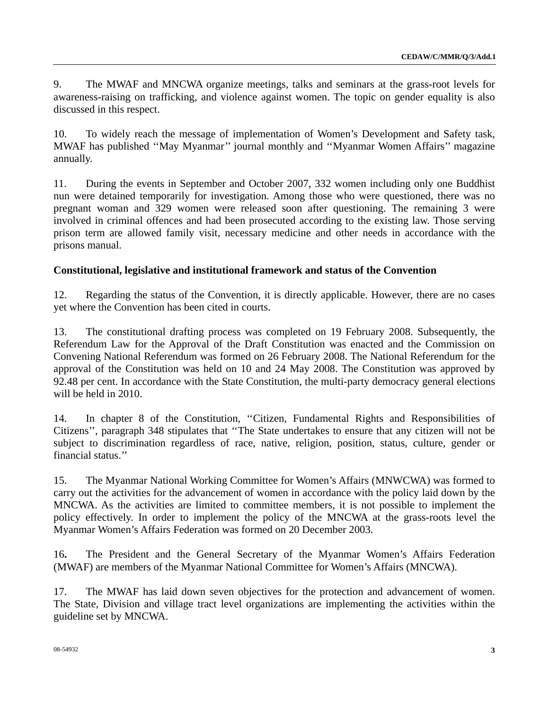9. The MWAF and MNCWA organize meetings, talks and seminars at the grass-root levels for awareness-raising on trafficking, and violence against women. The topic on gender equality is also discussed in this respect.

10. To widely reach the message of implementation of Women's Development and Safety task, MWAF has published ''May Myanmar'' journal monthly and ''Myanmar Women Affairs'' magazine annually.

11. During the events in September and October 2007, 332 women including only one Buddhist nun were detained temporarily for investigation. Among those who were questioned, there was no pregnant woman and 329 women were released soon after questioning. The remaining 3 were involved in criminal offences and had been prosecuted according to the existing law. Those serving prison term are allowed family visit, necessary medicine and other needs in accordance with the prisons manual.

# **Constitutional, legislative and institutional framework and status of the Convention**

12. Regarding the status of the Convention, it is directly applicable. However, there are no cases yet where the Convention has been cited in courts.

13. The constitutional drafting process was completed on 19 February 2008. Subsequently, the Referendum Law for the Approval of the Draft Constitution was enacted and the Commission on Convening National Referendum was formed on 26 February 2008. The National Referendum for the approval of the Constitution was held on 10 and 24 May 2008. The Constitution was approved by 92.48 per cent. In accordance with the State Constitution, the multi-party democracy general elections will be held in 2010.

14. In chapter 8 of the Constitution, ''Citizen, Fundamental Rights and Responsibilities of Citizens'', paragraph 348 stipulates that ''The State undertakes to ensure that any citizen will not be subject to discrimination regardless of race, native, religion, position, status, culture, gender or financial status.''

15. The Myanmar National Working Committee for Women's Affairs (MNWCWA) was formed to carry out the activities for the advancement of women in accordance with the policy laid down by the MNCWA. As the activities are limited to committee members, it is not possible to implement the policy effectively. In order to implement the policy of the MNCWA at the grass-roots level the Myanmar Women's Affairs Federation was formed on 20 December 2003.

16**.** The President and the General Secretary of the Myanmar Women's Affairs Federation (MWAF) are members of the Myanmar National Committee for Women's Affairs (MNCWA).

17. The MWAF has laid down seven objectives for the protection and advancement of women. The State, Division and village tract level organizations are implementing the activities within the guideline set by MNCWA.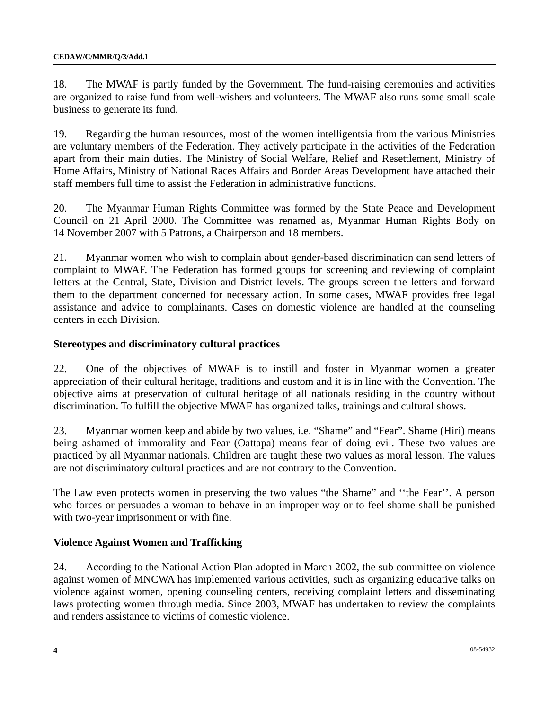18. The MWAF is partly funded by the Government. The fund-raising ceremonies and activities are organized to raise fund from well-wishers and volunteers. The MWAF also runs some small scale business to generate its fund.

19. Regarding the human resources, most of the women intelligentsia from the various Ministries are voluntary members of the Federation. They actively participate in the activities of the Federation apart from their main duties. The Ministry of Social Welfare, Relief and Resettlement, Ministry of Home Affairs, Ministry of National Races Affairs and Border Areas Development have attached their staff members full time to assist the Federation in administrative functions.

20. The Myanmar Human Rights Committee was formed by the State Peace and Development Council on 21 April 2000. The Committee was renamed as, Myanmar Human Rights Body on 14 November 2007 with 5 Patrons, a Chairperson and 18 members.

21. Myanmar women who wish to complain about gender-based discrimination can send letters of complaint to MWAF. The Federation has formed groups for screening and reviewing of complaint letters at the Central, State, Division and District levels. The groups screen the letters and forward them to the department concerned for necessary action. In some cases, MWAF provides free legal assistance and advice to complainants. Cases on domestic violence are handled at the counseling centers in each Division.

# **Stereotypes and discriminatory cultural practices**

22. One of the objectives of MWAF is to instill and foster in Myanmar women a greater appreciation of their cultural heritage, traditions and custom and it is in line with the Convention. The objective aims at preservation of cultural heritage of all nationals residing in the country without discrimination. To fulfill the objective MWAF has organized talks, trainings and cultural shows.

 23. Myanmar women keep and abide by two values, i.e. "Shame" and "Fear". Shame (Hiri) means being ashamed of immorality and Fear (Oattapa) means fear of doing evil. These two values are practiced by all Myanmar nationals. Children are taught these two values as moral lesson. The values are not discriminatory cultural practices and are not contrary to the Convention.

 The Law even protects women in preserving the two values "the Shame" and ''the Fear''. A person who forces or persuades a woman to behave in an improper way or to feel shame shall be punished with two-year imprisonment or with fine.

# **Violence Against Women and Trafficking**

24. According to the National Action Plan adopted in March 2002, the sub committee on violence against women of MNCWA has implemented various activities, such as organizing educative talks on violence against women, opening counseling centers, receiving complaint letters and disseminating laws protecting women through media. Since 2003, MWAF has undertaken to review the complaints and renders assistance to victims of domestic violence.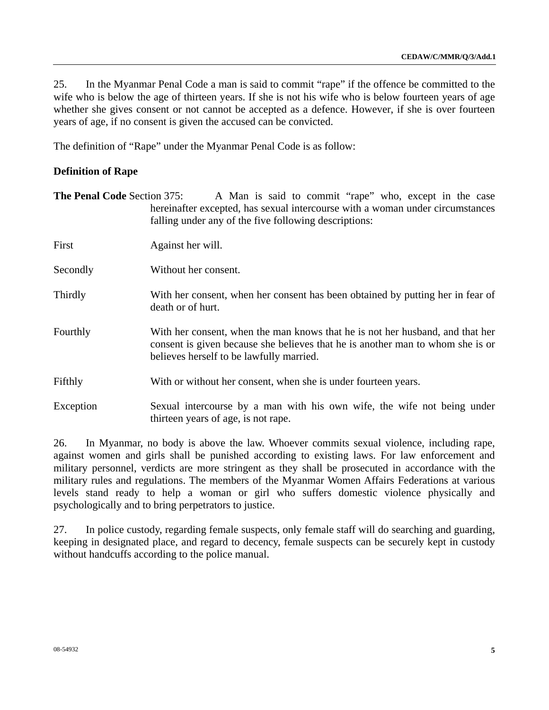25. In the Myanmar Penal Code a man is said to commit "rape" if the offence be committed to the wife who is below the age of thirteen years. If she is not his wife who is below fourteen years of age whether she gives consent or not cannot be accepted as a defence. However, if she is over fourteen years of age, if no consent is given the accused can be convicted.

The definition of "Rape" under the Myanmar Penal Code is as follow:

# **Definition of Rape**

**The Penal Code** Section 375: A Man is said to commit "rape" who, except in the case hereinafter excepted, has sexual intercourse with a woman under circumstances falling under any of the five following descriptions: First Against her will. Secondly Without her consent. Thirdly With her consent, when her consent has been obtained by putting her in fear of death or of hurt. Fourthly With her consent, when the man knows that he is not her husband, and that her consent is given because she believes that he is another man to whom she is or believes herself to be lawfully married. Fifthly With or without her consent, when she is under fourteen years. Exception Sexual intercourse by a man with his own wife, the wife not being under thirteen years of age, is not rape.

26. In Myanmar, no body is above the law. Whoever commits sexual violence, including rape, against women and girls shall be punished according to existing laws. For law enforcement and military personnel, verdicts are more stringent as they shall be prosecuted in accordance with the military rules and regulations. The members of the Myanmar Women Affairs Federations at various levels stand ready to help a woman or girl who suffers domestic violence physically and psychologically and to bring perpetrators to justice.

27. In police custody, regarding female suspects, only female staff will do searching and guarding, keeping in designated place, and regard to decency, female suspects can be securely kept in custody without handcuffs according to the police manual.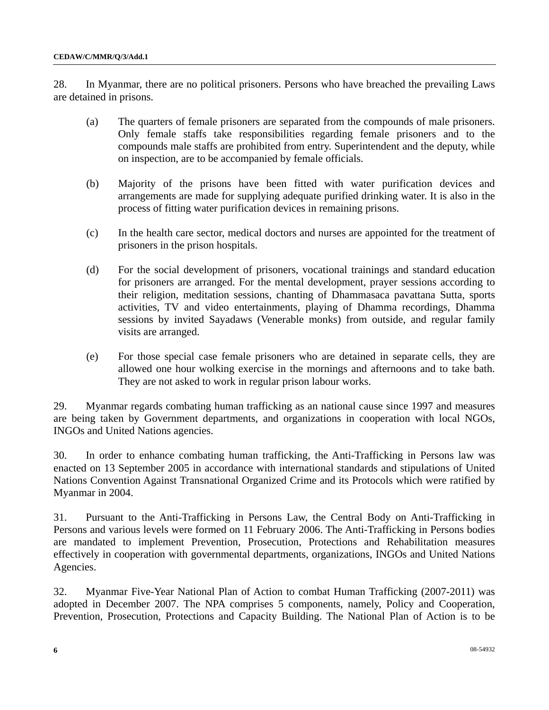28. In Myanmar, there are no political prisoners. Persons who have breached the prevailing Laws are detained in prisons.

- (a) The quarters of female prisoners are separated from the compounds of male prisoners. Only female staffs take responsibilities regarding female prisoners and to the compounds male staffs are prohibited from entry. Superintendent and the deputy, while on inspection, are to be accompanied by female officials.
- (b) Majority of the prisons have been fitted with water purification devices and arrangements are made for supplying adequate purified drinking water. It is also in the process of fitting water purification devices in remaining prisons.
- (c) In the health care sector, medical doctors and nurses are appointed for the treatment of prisoners in the prison hospitals.
- (d) For the social development of prisoners, vocational trainings and standard education for prisoners are arranged. For the mental development, prayer sessions according to their religion, meditation sessions, chanting of Dhammasaca pavattana Sutta, sports activities, TV and video entertainments, playing of Dhamma recordings, Dhamma sessions by invited Sayadaws (Venerable monks) from outside, and regular family visits are arranged.
- (e) For those special case female prisoners who are detained in separate cells, they are allowed one hour wolking exercise in the mornings and afternoons and to take bath. They are not asked to work in regular prison labour works.

29. Myanmar regards combating human trafficking as an national cause since 1997 and measures are being taken by Government departments, and organizations in cooperation with local NGOs, INGOs and United Nations agencies.

30. In order to enhance combating human trafficking, the Anti-Trafficking in Persons law was enacted on 13 September 2005 in accordance with international standards and stipulations of United Nations Convention Against Transnational Organized Crime and its Protocols which were ratified by Myanmar in 2004.

31. Pursuant to the Anti-Trafficking in Persons Law, the Central Body on Anti-Trafficking in Persons and various levels were formed on 11 February 2006. The Anti-Trafficking in Persons bodies are mandated to implement Prevention, Prosecution, Protections and Rehabilitation measures effectively in cooperation with governmental departments, organizations, INGOs and United Nations Agencies.

32. Myanmar Five-Year National Plan of Action to combat Human Trafficking (2007-2011) was adopted in December 2007. The NPA comprises 5 components, namely, Policy and Cooperation, Prevention, Prosecution, Protections and Capacity Building. The National Plan of Action is to be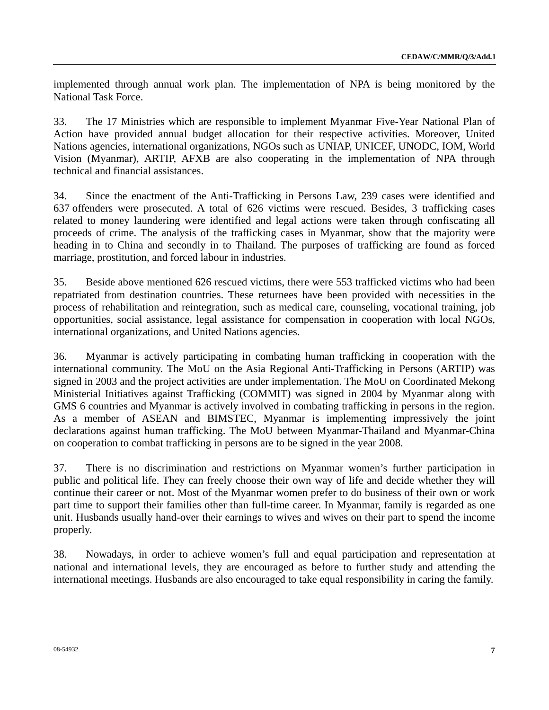implemented through annual work plan. The implementation of NPA is being monitored by the National Task Force.

33. The 17 Ministries which are responsible to implement Myanmar Five-Year National Plan of Action have provided annual budget allocation for their respective activities. Moreover, United Nations agencies, international organizations, NGOs such as UNIAP, UNICEF, UNODC, IOM, World Vision (Myanmar), ARTIP, AFXB are also cooperating in the implementation of NPA through technical and financial assistances.

34. Since the enactment of the Anti-Trafficking in Persons Law, 239 cases were identified and 637 offenders were prosecuted. A total of 626 victims were rescued. Besides, 3 trafficking cases related to money laundering were identified and legal actions were taken through confiscating all proceeds of crime. The analysis of the trafficking cases in Myanmar, show that the majority were heading in to China and secondly in to Thailand. The purposes of trafficking are found as forced marriage, prostitution, and forced labour in industries.

35. Beside above mentioned 626 rescued victims, there were 553 trafficked victims who had been repatriated from destination countries. These returnees have been provided with necessities in the process of rehabilitation and reintegration, such as medical care, counseling, vocational training, job opportunities, social assistance, legal assistance for compensation in cooperation with local NGOs, international organizations, and United Nations agencies.

36. Myanmar is actively participating in combating human trafficking in cooperation with the international community. The MoU on the Asia Regional Anti-Trafficking in Persons (ARTIP) was signed in 2003 and the project activities are under implementation. The MoU on Coordinated Mekong Ministerial Initiatives against Trafficking (COMMIT) was signed in 2004 by Myanmar along with GMS 6 countries and Myanmar is actively involved in combating trafficking in persons in the region. As a member of ASEAN and BIMSTEC, Myanmar is implementing impressively the joint declarations against human trafficking. The MoU between Myanmar-Thailand and Myanmar-China on cooperation to combat trafficking in persons are to be signed in the year 2008.

37. There is no discrimination and restrictions on Myanmar women's further participation in public and political life. They can freely choose their own way of life and decide whether they will continue their career or not. Most of the Myanmar women prefer to do business of their own or work part time to support their families other than full-time career. In Myanmar, family is regarded as one unit. Husbands usually hand-over their earnings to wives and wives on their part to spend the income properly.

38. Nowadays, in order to achieve women's full and equal participation and representation at national and international levels, they are encouraged as before to further study and attending the international meetings. Husbands are also encouraged to take equal responsibility in caring the family.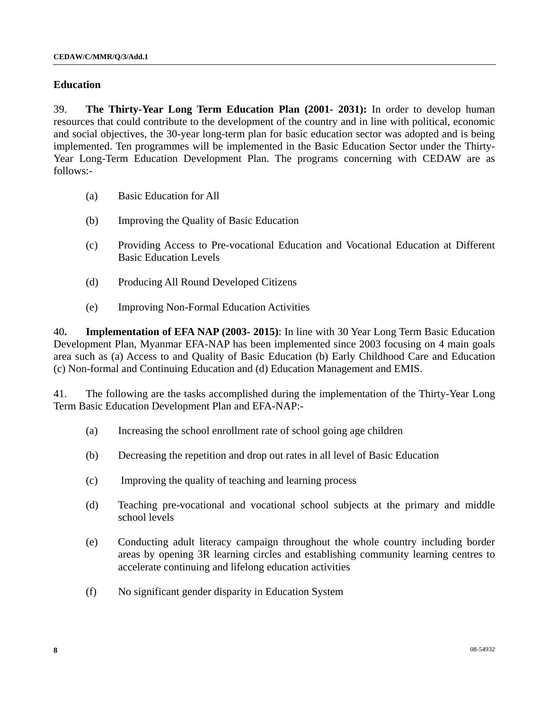#### **Education**

39. **The Thirty-Year Long Term Education Plan (2001- 2031):** In order to develop human resources that could contribute to the development of the country and in line with political, economic and social objectives, the 30-year long-term plan for basic education sector was adopted and is being implemented. Ten programmes will be implemented in the Basic Education Sector under the Thirty-Year Long-Term Education Development Plan. The programs concerning with CEDAW are as follows:-

- (a) Basic Education for All
- (b) Improving the Quality of Basic Education
- (c) Providing Access to Pre-vocational Education and Vocational Education at Different Basic Education Levels
- (d) Producing All Round Developed Citizens
- (e) Improving Non-Formal Education Activities

40**. Implementation of EFA NAP (2003- 2015)**: In line with 30 Year Long Term Basic Education Development Plan, Myanmar EFA-NAP has been implemented since 2003 focusing on 4 main goals area such as (a) Access to and Quality of Basic Education (b) Early Childhood Care and Education (c) Non-formal and Continuing Education and (d) Education Management and EMIS.

41. The following are the tasks accomplished during the implementation of the Thirty-Year Long Term Basic Education Development Plan and EFA-NAP:-

- (a) Increasing the school enrollment rate of school going age children
- (b) Decreasing the repetition and drop out rates in all level of Basic Education
- (c) Improving the quality of teaching and learning process
- (d) Teaching pre-vocational and vocational school subjects at the primary and middle school levels
- (e) Conducting adult literacy campaign throughout the whole country including border areas by opening 3R learning circles and establishing community learning centres to accelerate continuing and lifelong education activities
- (f) No significant gender disparity in Education System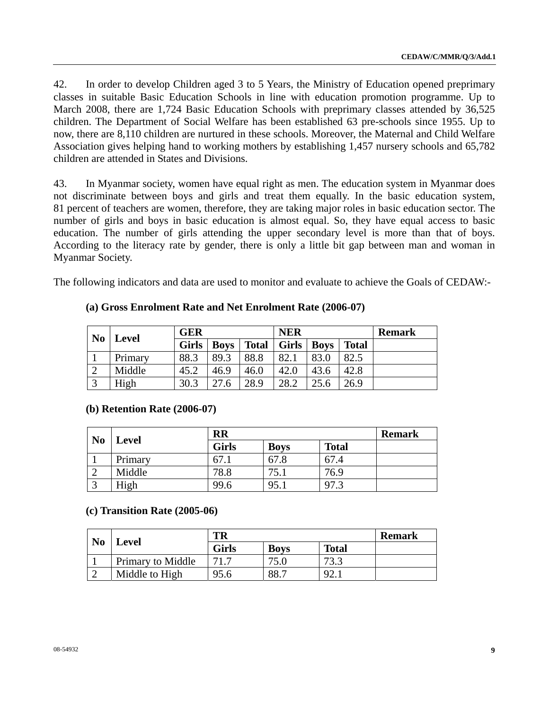42. In order to develop Children aged 3 to 5 Years, the Ministry of Education opened preprimary classes in suitable Basic Education Schools in line with education promotion programme. Up to March 2008, there are 1,724 Basic Education Schools with preprimary classes attended by 36,525 children. The Department of Social Welfare has been established 63 pre-schools since 1955. Up to now, there are 8,110 children are nurtured in these schools. Moreover, the Maternal and Child Welfare Association gives helping hand to working mothers by establishing 1,457 nursery schools and 65,782 children are attended in States and Divisions.

43. In Myanmar society, women have equal right as men. The education system in Myanmar does not discriminate between boys and girls and treat them equally. In the basic education system, 81 percent of teachers are women, therefore, they are taking major roles in basic education sector. The number of girls and boys in basic education is almost equal. So, they have equal access to basic education. The number of girls attending the upper secondary level is more than that of boys. According to the literacy rate by gender, there is only a little bit gap between man and woman in Myanmar Society.

The following indicators and data are used to monitor and evaluate to achieve the Goals of CEDAW:-

| N <sub>0</sub> |              | <b>GER</b>  |              |              | <b>NER</b>  |              | <b>Remark</b> |  |
|----------------|--------------|-------------|--------------|--------------|-------------|--------------|---------------|--|
| Level          | <b>Girls</b> | <b>Boys</b> | <b>Total</b> | <b>Girls</b> | <b>Boys</b> | <b>Total</b> |               |  |
|                | Primary      | 88.3        | 89.3         | 88.8         | 82.1        | 83.0         | 82.5          |  |
| $\bigcap$      | Middle       | 45.2        | 46.9         | 46.0         | 42.0        | 43.6         | 42.8          |  |
| $\bigcirc$     | High         | 30.3        | 27.6         | 28.9         | 28.2        |              | 26.9          |  |

## **(a) Gross Enrolment Rate and Net Enrolment Rate (2006-07)**

#### **(b) Retention Rate (2006-07)**

| N <sub>0</sub> |         | <b>RR</b>    | <b>Remark</b> |              |  |
|----------------|---------|--------------|---------------|--------------|--|
|                | Level   | <b>Girls</b> | <b>Boys</b>   | <b>Total</b> |  |
|                | Primary | 67.1         | 67.8          | 67.4         |  |
|                | Middle  | 78.8         | 75.1          | 76.9         |  |
|                | High    | 99.6         | 95.1          | 97.3         |  |

#### **(c) Transition Rate (2005-06)**

| N <sub>0</sub> | <b>Level</b>      | TR           | <b>Remark</b> |              |  |
|----------------|-------------------|--------------|---------------|--------------|--|
|                |                   | <b>Girls</b> | <b>Boys</b>   | <b>Total</b> |  |
|                | Primary to Middle |              |               | 72 2         |  |
|                | Middle to High    | 95.6         | 88.           | Q2           |  |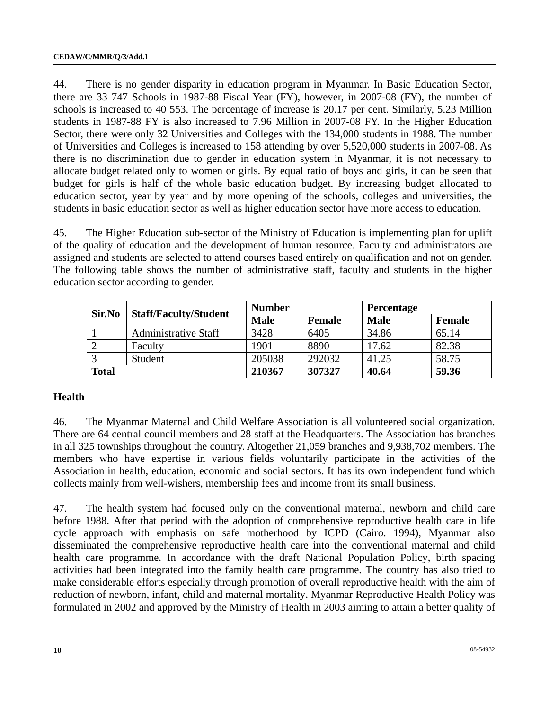44. There is no gender disparity in education program in Myanmar. In Basic Education Sector, there are 33 747 Schools in 1987-88 Fiscal Year (FY), however, in 2007-08 (FY), the number of schools is increased to 40 553. The percentage of increase is 20.17 per cent. Similarly, 5.23 Million students in 1987-88 FY is also increased to 7.96 Million in 2007-08 FY. In the Higher Education Sector, there were only 32 Universities and Colleges with the 134,000 students in 1988. The number of Universities and Colleges is increased to 158 attending by over 5,520,000 students in 2007-08. As there is no discrimination due to gender in education system in Myanmar, it is not necessary to allocate budget related only to women or girls. By equal ratio of boys and girls, it can be seen that budget for girls is half of the whole basic education budget. By increasing budget allocated to education sector, year by year and by more opening of the schools, colleges and universities, the students in basic education sector as well as higher education sector have more access to education.

45. The Higher Education sub-sector of the Ministry of Education is implementing plan for uplift of the quality of education and the development of human resource. Faculty and administrators are assigned and students are selected to attend courses based entirely on qualification and not on gender. The following table shows the number of administrative staff, faculty and students in the higher education sector according to gender.

| Sir.No       | <b>Staff/Faculty/Student</b> | <b>Number</b> |               | <b>Percentage</b> |                                          |
|--------------|------------------------------|---------------|---------------|-------------------|------------------------------------------|
|              |                              | <b>Male</b>   | <b>Female</b> | <b>Male</b>       | <b>Female</b><br>65.14<br>82.38<br>58.75 |
|              | Administrative Staff         | 3428          | 6405          | 34.86             |                                          |
|              | Faculty                      | 1901          | 8890          | 17.62             |                                          |
|              | Student                      | 205038        | 292032        | 41.25             |                                          |
| <b>Total</b> |                              | 210367        | 307327        | 40.64             | 59.36                                    |

## **Health**

46. The Myanmar Maternal and Child Welfare Association is all volunteered social organization. There are 64 central council members and 28 staff at the Headquarters. The Association has branches in all 325 townships throughout the country. Altogether 21,059 branches and 9,938,702 members. The members who have expertise in various fields voluntarily participate in the activities of the Association in health, education, economic and social sectors. It has its own independent fund which collects mainly from well-wishers, membership fees and income from its small business.

47. The health system had focused only on the conventional maternal, newborn and child care before 1988. After that period with the adoption of comprehensive reproductive health care in life cycle approach with emphasis on safe motherhood by ICPD (Cairo. 1994), Myanmar also disseminated the comprehensive reproductive health care into the conventional maternal and child health care programme. In accordance with the draft National Population Policy, birth spacing activities had been integrated into the family health care programme. The country has also tried to make considerable efforts especially through promotion of overall reproductive health with the aim of reduction of newborn, infant, child and maternal mortality. Myanmar Reproductive Health Policy was formulated in 2002 and approved by the Ministry of Health in 2003 aiming to attain a better quality of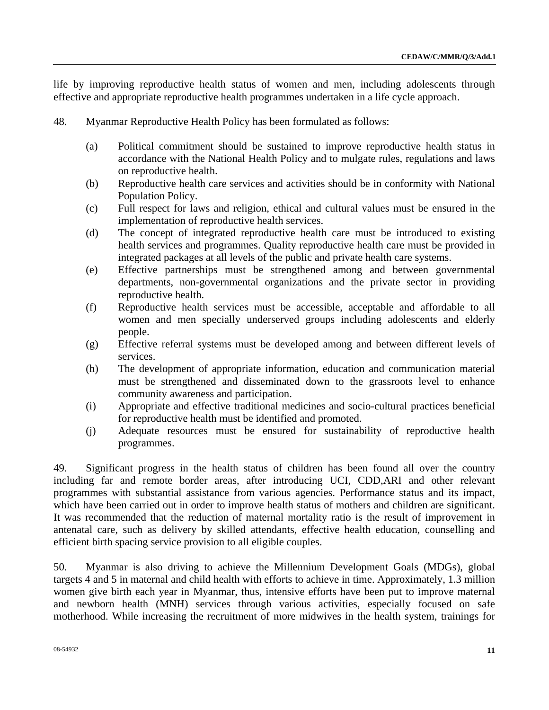life by improving reproductive health status of women and men, including adolescents through effective and appropriate reproductive health programmes undertaken in a life cycle approach.

- 48. Myanmar Reproductive Health Policy has been formulated as follows:
	- (a) Political commitment should be sustained to improve reproductive health status in accordance with the National Health Policy and to mulgate rules, regulations and laws on reproductive health.
	- (b) Reproductive health care services and activities should be in conformity with National Population Policy.
	- (c) Full respect for laws and religion, ethical and cultural values must be ensured in the implementation of reproductive health services.
	- (d) The concept of integrated reproductive health care must be introduced to existing health services and programmes. Quality reproductive health care must be provided in integrated packages at all levels of the public and private health care systems.
	- (e) Effective partnerships must be strengthened among and between governmental departments, non-governmental organizations and the private sector in providing reproductive health.
	- (f) Reproductive health services must be accessible, acceptable and affordable to all women and men specially underserved groups including adolescents and elderly people.
	- (g) Effective referral systems must be developed among and between different levels of services.
	- (h) The development of appropriate information, education and communication material must be strengthened and disseminated down to the grassroots level to enhance community awareness and participation.
	- (i) Appropriate and effective traditional medicines and socio-cultural practices beneficial for reproductive health must be identified and promoted.
	- (j) Adequate resources must be ensured for sustainability of reproductive health programmes.

49. Significant progress in the health status of children has been found all over the country including far and remote border areas, after introducing UCI, CDD,ARI and other relevant programmes with substantial assistance from various agencies. Performance status and its impact, which have been carried out in order to improve health status of mothers and children are significant. It was recommended that the reduction of maternal mortality ratio is the result of improvement in antenatal care, such as delivery by skilled attendants, effective health education, counselling and efficient birth spacing service provision to all eligible couples.

50. Myanmar is also driving to achieve the Millennium Development Goals (MDGs), global targets 4 and 5 in maternal and child health with efforts to achieve in time. Approximately, 1.3 million women give birth each year in Myanmar, thus, intensive efforts have been put to improve maternal and newborn health (MNH) services through various activities, especially focused on safe motherhood. While increasing the recruitment of more midwives in the health system, trainings for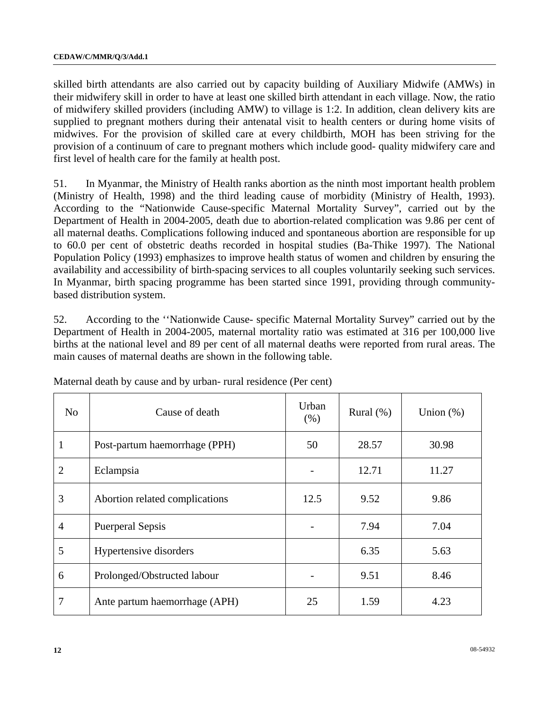skilled birth attendants are also carried out by capacity building of Auxiliary Midwife (AMWs) in their midwifery skill in order to have at least one skilled birth attendant in each village. Now, the ratio of midwifery skilled providers (including AMW) to village is 1:2. In addition, clean delivery kits are supplied to pregnant mothers during their antenatal visit to health centers or during home visits of midwives. For the provision of skilled care at every childbirth, MOH has been striving for the provision of a continuum of care to pregnant mothers which include good- quality midwifery care and first level of health care for the family at health post.

51. In Myanmar, the Ministry of Health ranks abortion as the ninth most important health problem (Ministry of Health, 1998) and the third leading cause of morbidity (Ministry of Health, 1993). According to the "Nationwide Cause-specific Maternal Mortality Survey", carried out by the Department of Health in 2004-2005, death due to abortion-related complication was 9.86 per cent of all maternal deaths. Complications following induced and spontaneous abortion are responsible for up to 60.0 per cent of obstetric deaths recorded in hospital studies (Ba-Thike 1997). The National Population Policy (1993) emphasizes to improve health status of women and children by ensuring the availability and accessibility of birth-spacing services to all couples voluntarily seeking such services. In Myanmar, birth spacing programme has been started since 1991, providing through communitybased distribution system.

52. According to the ''Nationwide Cause- specific Maternal Mortality Survey" carried out by the Department of Health in 2004-2005, maternal mortality ratio was estimated at 316 per 100,000 live births at the national level and 89 per cent of all maternal deaths were reported from rural areas. The main causes of maternal deaths are shown in the following table.

| N <sub>o</sub> | Cause of death                 | Urban<br>(% ) | Rural $(\%)$ | Union $(\%)$ |
|----------------|--------------------------------|---------------|--------------|--------------|
| 1              | Post-partum haemorrhage (PPH)  | 50            | 28.57        | 30.98        |
| $\overline{2}$ | Eclampsia                      |               | 12.71        | 11.27        |
| 3              | Abortion related complications | 12.5          | 9.52         | 9.86         |
| $\overline{4}$ | <b>Puerperal Sepsis</b>        |               | 7.94         | 7.04         |
| 5              | Hypertensive disorders         |               | 6.35         | 5.63         |
| 6              | Prolonged/Obstructed labour    |               | 9.51         | 8.46         |
| 7              | Ante partum haemorrhage (APH)  | 25            | 1.59         | 4.23         |

Maternal death by cause and by urban- rural residence (Per cent)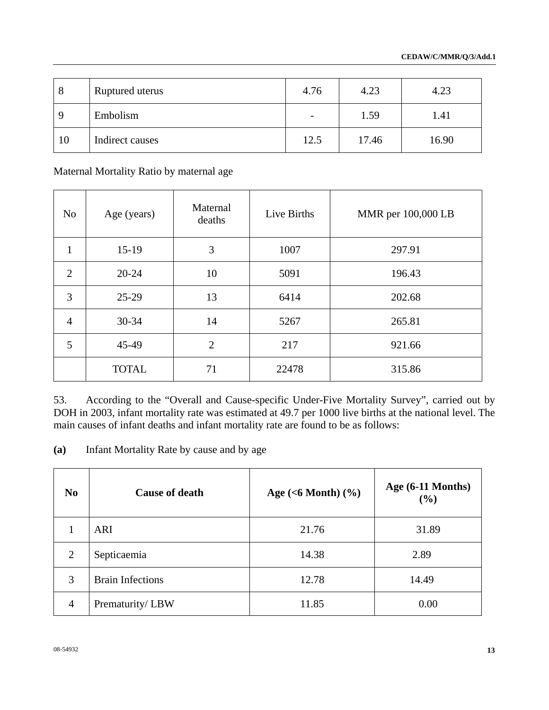| 8           | Ruptured uterus | 4.76                     | 4.23  | 4.23  |
|-------------|-----------------|--------------------------|-------|-------|
| $\mathbf Q$ | Embolism        | $\overline{\phantom{a}}$ | 1.59  | 1.41  |
| 10          | Indirect causes | 12.5                     | 17.46 | 16.90 |

Maternal Mortality Ratio by maternal age

| N <sub>o</sub> | Age (years)  | Maternal<br>deaths | Live Births | MMR per 100,000 LB |
|----------------|--------------|--------------------|-------------|--------------------|
| $\mathbf{1}$   | $15-19$      | 3                  | 1007        | 297.91             |
| $\overline{2}$ | $20 - 24$    | 10                 | 5091        | 196.43             |
| 3              | $25-29$      | 13                 | 6414        | 202.68             |
| $\overline{4}$ | $30 - 34$    | 14                 | 5267        | 265.81             |
| 5              | 45-49        | $\overline{2}$     | 217         | 921.66             |
|                | <b>TOTAL</b> | 71                 | 22478       | 315.86             |

53. According to the "Overall and Cause-specific Under-Five Mortality Survey", carried out by DOH in 2003, infant mortality rate was estimated at 49.7 per 1000 live births at the national level. The main causes of infant deaths and infant mortality rate are found to be as follows:

**(a)** Infant Mortality Rate by cause and by age

| N <sub>0</sub> | <b>Cause of death</b>   | Age $(<6$ Month $)(\%)$ | Age $(6-11$ Months)<br>(9/0) |
|----------------|-------------------------|-------------------------|------------------------------|
| 1              | <b>ARI</b>              | 21.76                   | 31.89                        |
| $\overline{2}$ | Septicaemia             | 14.38                   | 2.89                         |
| 3              | <b>Brain Infections</b> | 12.78                   | 14.49                        |
| 4              | Prematurity/LBW         | 11.85                   | 0.00                         |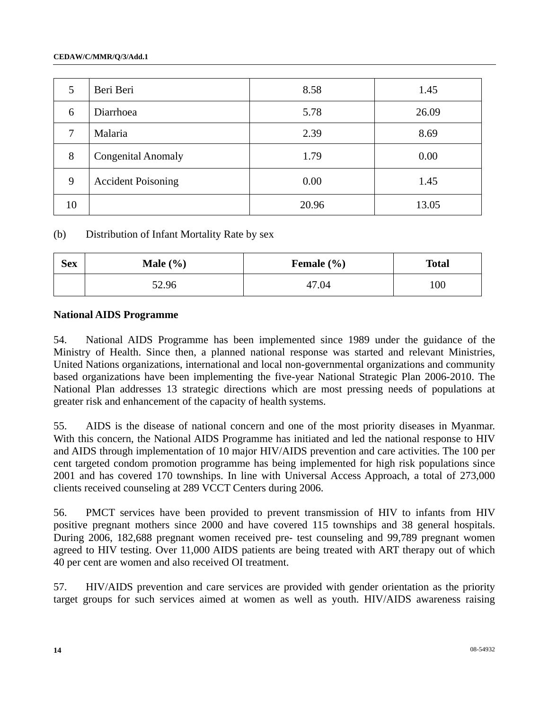| 5  | Beri Beri                 | 8.58  | 1.45  |
|----|---------------------------|-------|-------|
| 6  | Diarrhoea                 | 5.78  | 26.09 |
| 7  | Malaria                   | 2.39  | 8.69  |
| 8  | <b>Congenital Anomaly</b> | 1.79  | 0.00  |
| 9  | <b>Accident Poisoning</b> | 0.00  | 1.45  |
| 10 |                           | 20.96 | 13.05 |

(b) Distribution of Infant Mortality Rate by sex

| <b>Sex</b> | Male $(\% )$ | Female $(\% )$ | <b>Total</b> |
|------------|--------------|----------------|--------------|
|            | 52.96        | 47.04          | 100          |

#### **National AIDS Programme**

54. National AIDS Programme has been implemented since 1989 under the guidance of the Ministry of Health. Since then, a planned national response was started and relevant Ministries, United Nations organizations, international and local non-governmental organizations and community based organizations have been implementing the five-year National Strategic Plan 2006-2010. The National Plan addresses 13 strategic directions which are most pressing needs of populations at greater risk and enhancement of the capacity of health systems.

55. AIDS is the disease of national concern and one of the most priority diseases in Myanmar. With this concern, the National AIDS Programme has initiated and led the national response to HIV and AIDS through implementation of 10 major HIV/AIDS prevention and care activities. The 100 per cent targeted condom promotion programme has being implemented for high risk populations since 2001 and has covered 170 townships. In line with Universal Access Approach, a total of 273,000 clients received counseling at 289 VCCT Centers during 2006.

56. PMCT services have been provided to prevent transmission of HIV to infants from HIV positive pregnant mothers since 2000 and have covered 115 townships and 38 general hospitals. During 2006, 182,688 pregnant women received pre- test counseling and 99,789 pregnant women agreed to HIV testing. Over 11,000 AIDS patients are being treated with ART therapy out of which 40 per cent are women and also received OI treatment.

57. HIV/AIDS prevention and care services are provided with gender orientation as the priority target groups for such services aimed at women as well as youth. HIV/AIDS awareness raising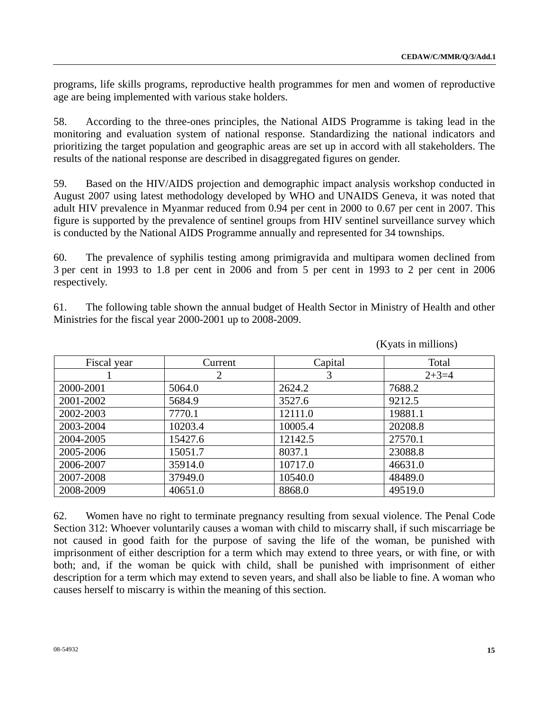programs, life skills programs, reproductive health programmes for men and women of reproductive age are being implemented with various stake holders.

58. According to the three-ones principles, the National AIDS Programme is taking lead in the monitoring and evaluation system of national response. Standardizing the national indicators and prioritizing the target population and geographic areas are set up in accord with all stakeholders. The results of the national response are described in disaggregated figures on gender.

59. Based on the HIV/AIDS projection and demographic impact analysis workshop conducted in August 2007 using latest methodology developed by WHO and UNAIDS Geneva, it was noted that adult HIV prevalence in Myanmar reduced from 0.94 per cent in 2000 to 0.67 per cent in 2007. This figure is supported by the prevalence of sentinel groups from HIV sentinel surveillance survey which is conducted by the National AIDS Programme annually and represented for 34 townships.

60. The prevalence of syphilis testing among primigravida and multipara women declined from 3 per cent in 1993 to 1.8 per cent in 2006 and from 5 per cent in 1993 to 2 per cent in 2006 respectively.

61. The following table shown the annual budget of Health Sector in Ministry of Health and other Ministries for the fiscal year 2000-2001 up to 2008-2009.

| Fiscal year | Current | Capital | Total   |
|-------------|---------|---------|---------|
|             | 2       | 3       | $2+3=4$ |
| 2000-2001   | 5064.0  | 2624.2  | 7688.2  |
| 2001-2002   | 5684.9  | 3527.6  | 9212.5  |
| 2002-2003   | 7770.1  | 12111.0 | 19881.1 |
| 2003-2004   | 10203.4 | 10005.4 | 20208.8 |
| 2004-2005   | 15427.6 | 12142.5 | 27570.1 |
| 2005-2006   | 15051.7 | 8037.1  | 23088.8 |
| 2006-2007   | 35914.0 | 10717.0 | 46631.0 |
| 2007-2008   | 37949.0 | 10540.0 | 48489.0 |
| 2008-2009   | 40651.0 | 8868.0  | 49519.0 |

(Kyats in millions)

62. Women have no right to terminate pregnancy resulting from sexual violence. The Penal Code Section 312: Whoever voluntarily causes a woman with child to miscarry shall, if such miscarriage be not caused in good faith for the purpose of saving the life of the woman, be punished with imprisonment of either description for a term which may extend to three years, or with fine, or with both; and, if the woman be quick with child, shall be punished with imprisonment of either description for a term which may extend to seven years, and shall also be liable to fine. A woman who causes herself to miscarry is within the meaning of this section.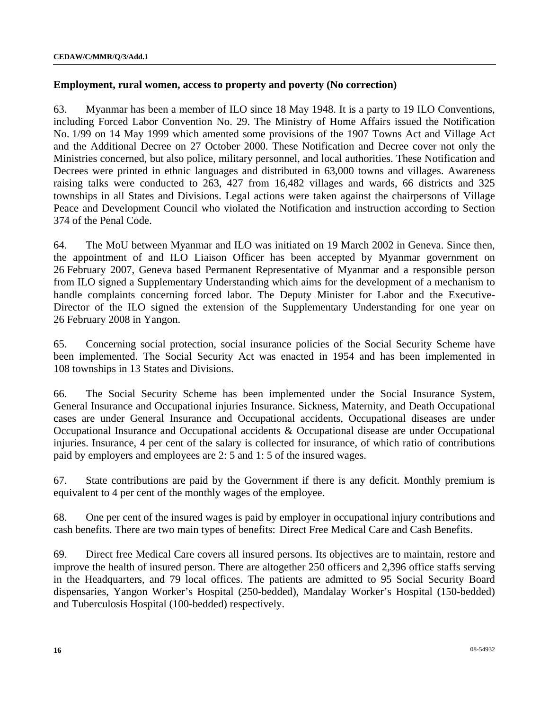#### **Employment, rural women, access to property and poverty (No correction)**

63. Myanmar has been a member of ILO since 18 May 1948. It is a party to 19 ILO Conventions, including Forced Labor Convention No. 29. The Ministry of Home Affairs issued the Notification No. 1/99 on 14 May 1999 which amented some provisions of the 1907 Towns Act and Village Act and the Additional Decree on 27 October 2000. These Notification and Decree cover not only the Ministries concerned, but also police, military personnel, and local authorities. These Notification and Decrees were printed in ethnic languages and distributed in 63,000 towns and villages. Awareness raising talks were conducted to 263, 427 from 16,482 villages and wards, 66 districts and 325 townships in all States and Divisions. Legal actions were taken against the chairpersons of Village Peace and Development Council who violated the Notification and instruction according to Section 374 of the Penal Code.

64. The MoU between Myanmar and ILO was initiated on 19 March 2002 in Geneva. Since then, the appointment of and ILO Liaison Officer has been accepted by Myanmar government on 26 February 2007, Geneva based Permanent Representative of Myanmar and a responsible person from ILO signed a Supplementary Understanding which aims for the development of a mechanism to handle complaints concerning forced labor. The Deputy Minister for Labor and the Executive-Director of the ILO signed the extension of the Supplementary Understanding for one year on 26 February 2008 in Yangon.

65. Concerning social protection, social insurance policies of the Social Security Scheme have been implemented. The Social Security Act was enacted in 1954 and has been implemented in 108 townships in 13 States and Divisions.

66. The Social Security Scheme has been implemented under the Social Insurance System, General Insurance and Occupational injuries Insurance. Sickness, Maternity, and Death Occupational cases are under General Insurance and Occupational accidents, Occupational diseases are under Occupational Insurance and Occupational accidents & Occupational disease are under Occupational injuries. Insurance, 4 per cent of the salary is collected for insurance, of which ratio of contributions paid by employers and employees are 2: 5 and 1: 5 of the insured wages.

67. State contributions are paid by the Government if there is any deficit. Monthly premium is equivalent to 4 per cent of the monthly wages of the employee.

68. One per cent of the insured wages is paid by employer in occupational injury contributions and cash benefits. There are two main types of benefits: Direct Free Medical Care and Cash Benefits.

69. Direct free Medical Care covers all insured persons. Its objectives are to maintain, restore and improve the health of insured person. There are altogether 250 officers and 2,396 office staffs serving in the Headquarters, and 79 local offices. The patients are admitted to 95 Social Security Board dispensaries, Yangon Worker's Hospital (250-bedded), Mandalay Worker's Hospital (150-bedded) and Tuberculosis Hospital (100-bedded) respectively.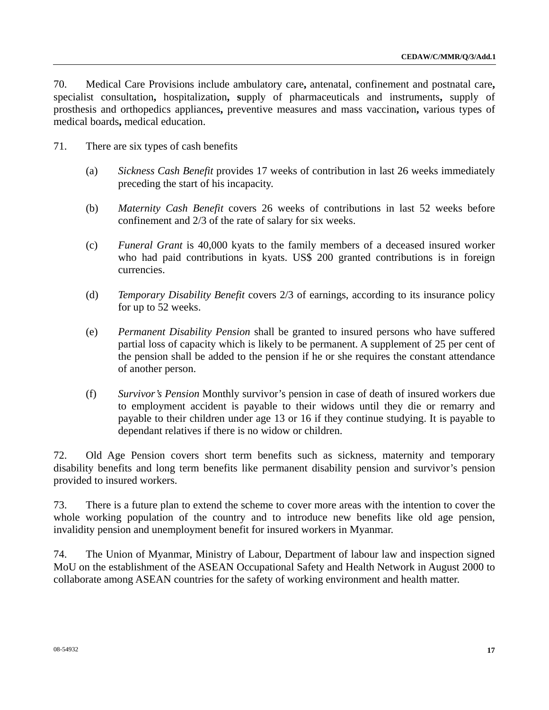70. Medical Care Provisions include ambulatory care**,** antenatal, confinement and postnatal care**,**  specialist consultation**,** hospitalization**, s**upply of pharmaceuticals and instruments**,** supply of prosthesis and orthopedics appliances**,** preventive measures and mass vaccination**,** various types of medical boards**,** medical education.

- 71. There are six types of cash benefits
	- (a) *Sickness Cash Benefit* provides 17 weeks of contribution in last 26 weeks immediately preceding the start of his incapacity.
	- (b) *Maternity Cash Benefit* covers 26 weeks of contributions in last 52 weeks before confinement and 2/3 of the rate of salary for six weeks.
	- (c) *Funeral Grant* is 40,000 kyats to the family members of a deceased insured worker who had paid contributions in kyats. US\$ 200 granted contributions is in foreign currencies.
	- (d) *Temporary Disability Benefit* covers 2/3 of earnings, according to its insurance policy for up to 52 weeks.
	- (e) *Permanent Disability Pension* shall be granted to insured persons who have suffered partial loss of capacity which is likely to be permanent. A supplement of 25 per cent of the pension shall be added to the pension if he or she requires the constant attendance of another person.
	- (f) *Survivor's Pension* Monthly survivor's pension in case of death of insured workers due to employment accident is payable to their widows until they die or remarry and payable to their children under age 13 or 16 if they continue studying. It is payable to dependant relatives if there is no widow or children.

72. Old Age Pension covers short term benefits such as sickness, maternity and temporary disability benefits and long term benefits like permanent disability pension and survivor's pension provided to insured workers.

73. There is a future plan to extend the scheme to cover more areas with the intention to cover the whole working population of the country and to introduce new benefits like old age pension, invalidity pension and unemployment benefit for insured workers in Myanmar.

74. The Union of Myanmar, Ministry of Labour, Department of labour law and inspection signed MoU on the establishment of the ASEAN Occupational Safety and Health Network in August 2000 to collaborate among ASEAN countries for the safety of working environment and health matter.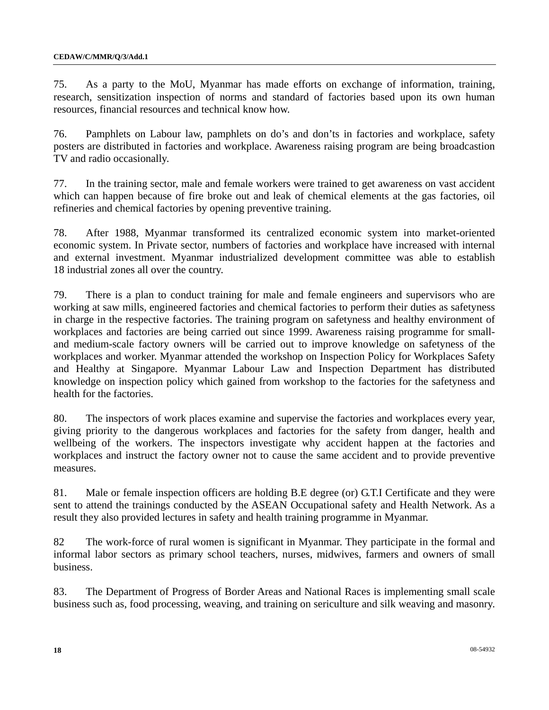75. As a party to the MoU, Myanmar has made efforts on exchange of information, training, research, sensitization inspection of norms and standard of factories based upon its own human resources, financial resources and technical know how.

76. Pamphlets on Labour law, pamphlets on do's and don'ts in factories and workplace, safety posters are distributed in factories and workplace. Awareness raising program are being broadcastion TV and radio occasionally.

77. In the training sector, male and female workers were trained to get awareness on vast accident which can happen because of fire broke out and leak of chemical elements at the gas factories, oil refineries and chemical factories by opening preventive training.

78. After 1988, Myanmar transformed its centralized economic system into market-oriented economic system. In Private sector, numbers of factories and workplace have increased with internal and external investment. Myanmar industrialized development committee was able to establish 18 industrial zones all over the country.

79. There is a plan to conduct training for male and female engineers and supervisors who are working at saw mills, engineered factories and chemical factories to perform their duties as safetyness in charge in the respective factories. The training program on safetyness and healthy environment of workplaces and factories are being carried out since 1999. Awareness raising programme for smalland medium-scale factory owners will be carried out to improve knowledge on safetyness of the workplaces and worker. Myanmar attended the workshop on Inspection Policy for Workplaces Safety and Healthy at Singapore. Myanmar Labour Law and Inspection Department has distributed knowledge on inspection policy which gained from workshop to the factories for the safetyness and health for the factories.

80. The inspectors of work places examine and supervise the factories and workplaces every year, giving priority to the dangerous workplaces and factories for the safety from danger, health and wellbeing of the workers. The inspectors investigate why accident happen at the factories and workplaces and instruct the factory owner not to cause the same accident and to provide preventive measures.

81. Male or female inspection officers are holding B.E degree (or) G.T.I Certificate and they were sent to attend the trainings conducted by the ASEAN Occupational safety and Health Network. As a result they also provided lectures in safety and health training programme in Myanmar.

82 The work-force of rural women is significant in Myanmar. They participate in the formal and informal labor sectors as primary school teachers, nurses, midwives, farmers and owners of small business.

83. The Department of Progress of Border Areas and National Races is implementing small scale business such as, food processing, weaving, and training on sericulture and silk weaving and masonry.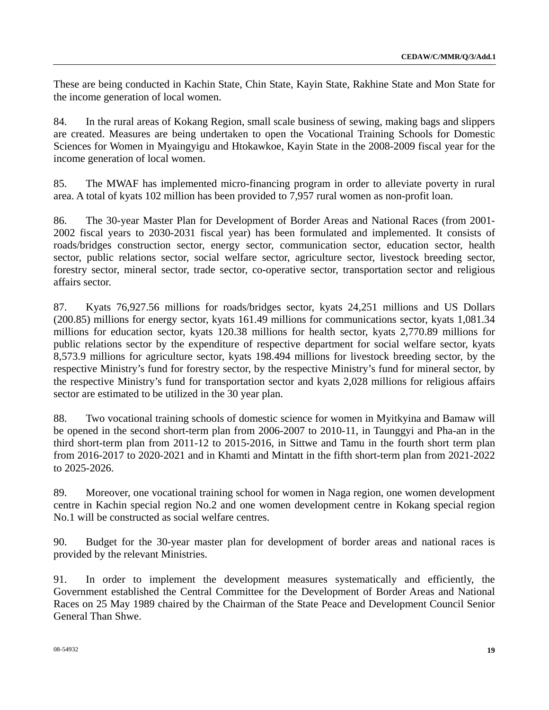These are being conducted in Kachin State, Chin State, Kayin State, Rakhine State and Mon State for the income generation of local women.

84. In the rural areas of Kokang Region, small scale business of sewing, making bags and slippers are created. Measures are being undertaken to open the Vocational Training Schools for Domestic Sciences for Women in Myaingyigu and Htokawkoe, Kayin State in the 2008-2009 fiscal year for the income generation of local women.

85. The MWAF has implemented micro-financing program in order to alleviate poverty in rural area. A total of kyats 102 million has been provided to 7,957 rural women as non-profit loan.

86. The 30-year Master Plan for Development of Border Areas and National Races (from 2001- 2002 fiscal years to 2030-2031 fiscal year) has been formulated and implemented. It consists of roads/bridges construction sector, energy sector, communication sector, education sector, health sector, public relations sector, social welfare sector, agriculture sector, livestock breeding sector, forestry sector, mineral sector, trade sector, co-operative sector, transportation sector and religious affairs sector.

87. Kyats 76,927.56 millions for roads/bridges sector, kyats 24,251 millions and US Dollars (200.85) millions for energy sector, kyats 161.49 millions for communications sector, kyats 1,081.34 millions for education sector, kyats 120.38 millions for health sector, kyats 2,770.89 millions for public relations sector by the expenditure of respective department for social welfare sector, kyats 8,573.9 millions for agriculture sector, kyats 198.494 millions for livestock breeding sector, by the respective Ministry's fund for forestry sector, by the respective Ministry's fund for mineral sector, by the respective Ministry's fund for transportation sector and kyats 2,028 millions for religious affairs sector are estimated to be utilized in the 30 year plan.

88. Two vocational training schools of domestic science for women in Myitkyina and Bamaw will be opened in the second short-term plan from 2006-2007 to 2010-11, in Taunggyi and Pha-an in the third short-term plan from 2011-12 to 2015-2016, in Sittwe and Tamu in the fourth short term plan from 2016-2017 to 2020-2021 and in Khamti and Mintatt in the fifth short-term plan from 2021-2022 to 2025-2026.

89. Moreover, one vocational training school for women in Naga region, one women development centre in Kachin special region No.2 and one women development centre in Kokang special region No.1 will be constructed as social welfare centres.

90. Budget for the 30-year master plan for development of border areas and national races is provided by the relevant Ministries.

91. In order to implement the development measures systematically and efficiently, the Government established the Central Committee for the Development of Border Areas and National Races on 25 May 1989 chaired by the Chairman of the State Peace and Development Council Senior General Than Shwe.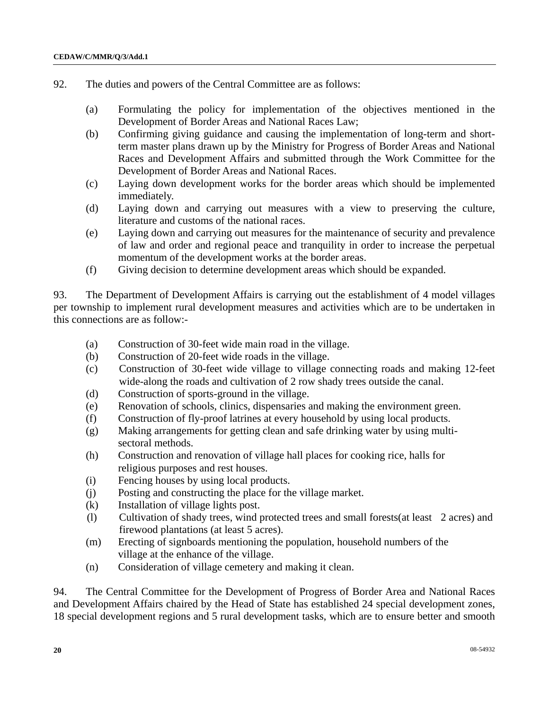- 92. The duties and powers of the Central Committee are as follows:
	- (a) Formulating the policy for implementation of the objectives mentioned in the Development of Border Areas and National Races Law;
	- (b) Confirming giving guidance and causing the implementation of long-term and shortterm master plans drawn up by the Ministry for Progress of Border Areas and National Races and Development Affairs and submitted through the Work Committee for the Development of Border Areas and National Races.
	- (c) Laying down development works for the border areas which should be implemented immediately.
	- (d) Laying down and carrying out measures with a view to preserving the culture, literature and customs of the national races.
	- (e) Laying down and carrying out measures for the maintenance of security and prevalence of law and order and regional peace and tranquility in order to increase the perpetual momentum of the development works at the border areas.
	- (f) Giving decision to determine development areas which should be expanded.

93. The Department of Development Affairs is carrying out the establishment of 4 model villages per township to implement rural development measures and activities which are to be undertaken in this connections are as follow:-

- (a) Construction of 30-feet wide main road in the village.
- (b) Construction of 20-feet wide roads in the village.
- (c) Construction of 30-feet wide village to village connecting roads and making 12-feet wide-along the roads and cultivation of 2 row shady trees outside the canal.
- (d) Construction of sports-ground in the village.
- (e) Renovation of schools, clinics, dispensaries and making the environment green.
- (f) Construction of fly-proof latrines at every household by using local products.
- (g) Making arrangements for getting clean and safe drinking water by using multi sectoral methods.
- (h) Construction and renovation of village hall places for cooking rice, halls for religious purposes and rest houses.
- (i) Fencing houses by using local products.
- (j) Posting and constructing the place for the village market.
- (k) Installation of village lights post.
- (l) Cultivation of shady trees, wind protected trees and small forests(at least 2 acres) and firewood plantations (at least 5 acres).
- (m) Erecting of signboards mentioning the population, household numbers of the village at the enhance of the village.
- (n) Consideration of village cemetery and making it clean.

94. The Central Committee for the Development of Progress of Border Area and National Races and Development Affairs chaired by the Head of State has established 24 special development zones, 18 special development regions and 5 rural development tasks, which are to ensure better and smooth